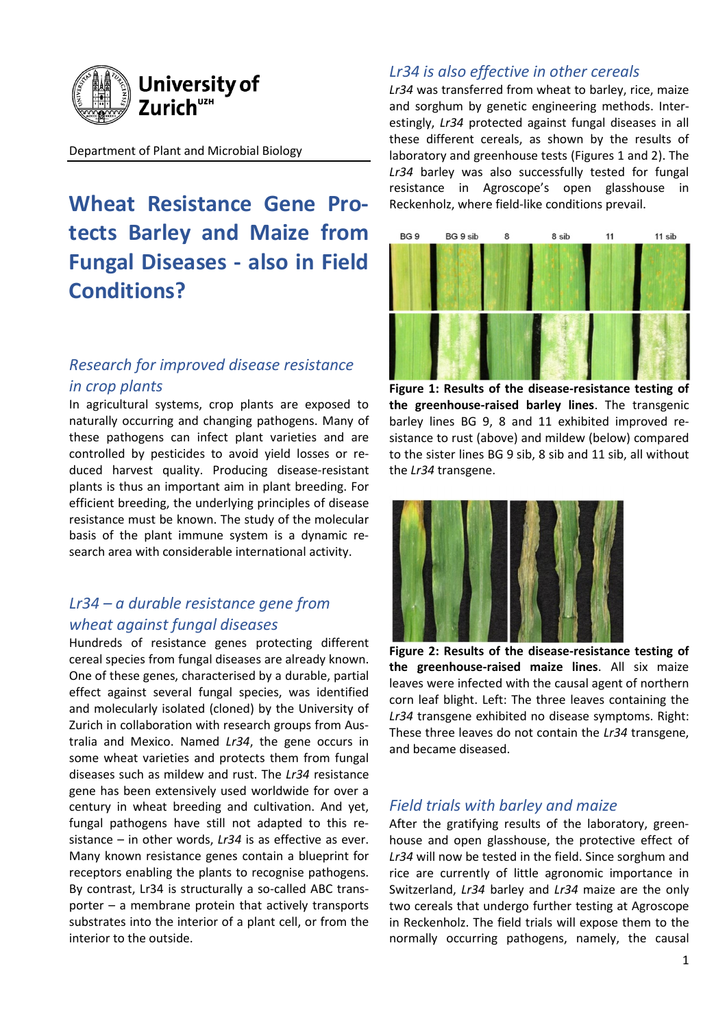

#### Department of Plant and Microbial Biology

**Wheat Resistance Gene Protects Barley and Maize from Fungal Diseases - also in Field Conditions?**

## *Research for improved disease resistance in crop plants*

In agricultural systems, crop plants are exposed to naturally occurring and changing pathogens. Many of these pathogens can infect plant varieties and are controlled by pesticides to avoid yield losses or reduced harvest quality. Producing disease-resistant plants is thus an important aim in plant breeding. For efficient breeding, the underlying principles of disease resistance must be known. The study of the molecular basis of the plant immune system is a dynamic research area with considerable international activity.

# *Lr34 – a durable resistance gene from wheat against fungal diseases*

Hundreds of resistance genes protecting different cereal species from fungal diseases are already known. One of these genes, characterised by a durable, partial effect against several fungal species, was identified and molecularly isolated (cloned) by the University of Zurich in collaboration with research groups from Australia and Mexico. Named *Lr34*, the gene occurs in some wheat varieties and protects them from fungal diseases such as mildew and rust. The *Lr34* resistance gene has been extensively used worldwide for over a century in wheat breeding and cultivation. And yet, fungal pathogens have still not adapted to this resistance – in other words, *Lr34* is as effective as ever. Many known resistance genes contain a blueprint for receptors enabling the plants to recognise pathogens. By contrast, Lr34 is structurally a so-called ABC transporter – a membrane protein that actively transports substrates into the interior of a plant cell, or from the interior to the outside.

### *Lr34 is also effective in other cereals*

*Lr34* was transferred from wheat to barley, rice, maize and sorghum by genetic engineering methods. Interestingly, *Lr34* protected against fungal diseases in all these different cereals, as shown by the results of laboratory and greenhouse tests (Figures 1 and 2). The *Lr34* barley was also successfully tested for fungal resistance in Agroscope's open glasshouse in Reckenholz, where field-like conditions prevail.



**Figure 1: Results of the disease-resistance testing of the greenhouse-raised barley lines**. The transgenic barley lines BG 9, 8 and 11 exhibited improved resistance to rust (above) and mildew (below) compared to the sister lines BG 9 sib, 8 sib and 11 sib, all without the *Lr34* transgene.



**Figure 2: Results of the disease-resistance testing of the greenhouse-raised maize lines**. All six maize leaves were infected with the causal agent of northern corn leaf blight. Left: The three leaves containing the *Lr34* transgene exhibited no disease symptoms. Right: These three leaves do not contain the *Lr34* transgene, and became diseased.

#### *Field trials with barley and maize*

After the gratifying results of the laboratory, greenhouse and open glasshouse, the protective effect of *Lr34* will now be tested in the field. Since sorghum and rice are currently of little agronomic importance in Switzerland, *Lr34* barley and *Lr34* maize are the only two cereals that undergo further testing at Agroscope in Reckenholz. The field trials will expose them to the normally occurring pathogens, namely, the causal